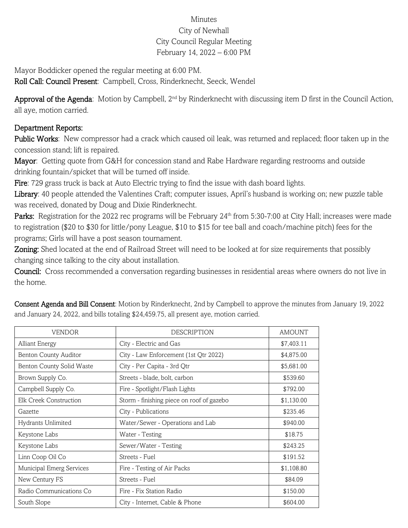## Minutes City of Newhall City Council Regular Meeting February 14, 2022 – 6:00 PM

Mayor Boddicker opened the regular meeting at 6:00 PM.

Roll Call: Council Present: Campbell, Cross, Rinderknecht, Seeck, Wendel

Approval of the Agenda: Motion by Campbell, 2<sup>nd</sup> by Rinderknecht with discussing item D first in the Council Action, all aye, motion carried.

## Department Reports:

Public Works: New compressor had a crack which caused oil leak, was returned and replaced; floor taken up in the concession stand; lift is repaired.

Mayor: Getting quote from G&H for concession stand and Rabe Hardware regarding restrooms and outside drinking fountain/spicket that will be turned off inside.

Fire: 729 grass truck is back at Auto Electric trying to find the issue with dash board lights.

Library: 40 people attended the Valentines Craft; computer issues, April's husband is working on; new puzzle table was received, donated by Doug and Dixie Rinderknecht.

Parks: Registration for the 2022 rec programs will be February 24<sup>th</sup> from 5:30-7:00 at City Hall; increases were made to registration (\$20 to \$30 for little/pony League, \$10 to \$15 for tee ball and coach/machine pitch) fees for the programs; Girls will have a post season tournament.

Zoning: Shed located at the end of Railroad Street will need to be looked at for size requirements that possibly changing since talking to the city about installation.

Council: Cross recommended a conversation regarding businesses in residential areas where owners do not live in the home.

| <b>VENDOR</b>                | <b>DESCRIPTION</b>                        | <b>AMOUNT</b> |
|------------------------------|-------------------------------------------|---------------|
| <b>Alliant Energy</b>        | City - Electric and Gas                   | \$7,403.11    |
| <b>Benton County Auditor</b> | City - Law Enforcement (1st Qtr 2022)     | \$4,875.00    |
| Benton County Solid Waste    | City - Per Capita - 3rd Qtr               | \$5,681.00    |
| Brown Supply Co.             | Streets - blade, bolt, carbon             | \$539.60      |
| Campbell Supply Co.          | Fire - Spotlight/Flash Lights             | \$792.00      |
| Elk Creek Construction       | Storm - finishing piece on roof of gazebo | \$1,130.00    |
| Gazette                      | City - Publications                       | \$235.46      |
| Hydrants Unlimited           | Water/Sewer - Operations and Lab          | \$940.00      |
| Keystone Labs                | Water - Testing                           | \$18.75       |
| Keystone Labs                | Sewer/Water - Testing                     | \$243.25      |
| Linn Coop Oil Co             | Streets - Fuel                            | \$191.52      |
| Municipal Emerg Services     | Fire - Testing of Air Packs               | \$1,108.80    |
| New Century FS               | Streets - Fuel                            | \$84.09       |
| Radio Communications Co      | Fire - Fix Station Radio                  | \$150.00      |
| South Slope                  | City - Internet, Cable & Phone            | \$604.00      |

Consent Agenda and Bill Consent: Motion by Rinderknecht, 2nd by Campbell to approve the minutes from January 19, 2022 and January 24, 2022, and bills totaling \$24,459.75, all present aye, motion carried.